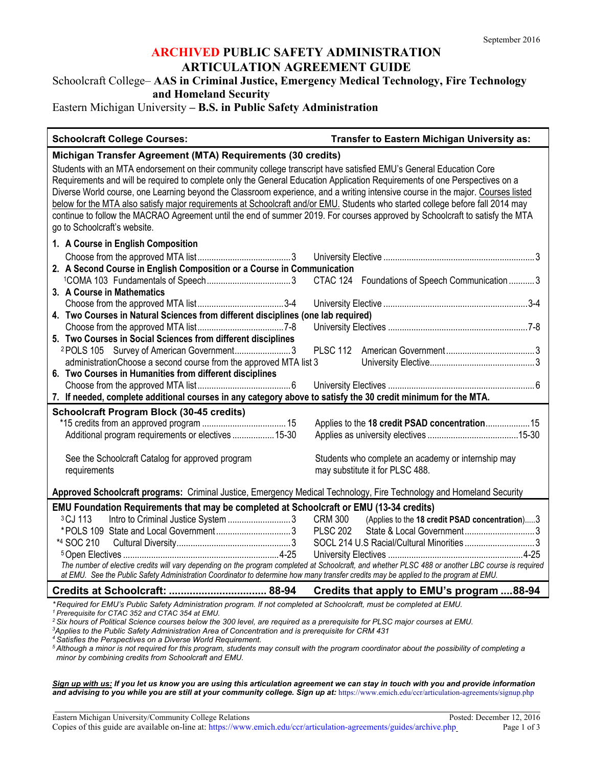# **ARCHIVED PUBLIC SAFETY ADMINISTRATION ARTICULATION AGREEMENT GUIDE**

### Schoolcraft College– **AAS in Criminal Justice, Emergency Medical Technology, Fire Technology and Homeland Security**

### Eastern Michigan University **– B.S. in Public Safety Administration**

#### **Schoolcraft College Courses: Transfer to Eastern Michigan University as:**

# **Michigan Transfer Agreement (MTA) Requirements (30 credits)** Students with an MTA endorsement on their community college transcript have satisfied EMU's General Education Core

Requirements and will be required to complete only the General Education Application Requirements of one Perspectives on a Diverse World course, one Learning beyond the Classroom experience, and a writing intensive course in the major. Courses listed below for the MTA also satisfy major requirements at Schoolcraft and/or EMU. Students who started college before fall 2014 may continue to follow the MACRAO Agreement until the end of summer 2019. For courses approved by Schoolcraft to satisfy the MTA go to Schoolcraft's website. **1. A Course in English Composition**

| 2. A Second Course in English Composition or a Course in Communication                                                                             |                                                        |  |
|----------------------------------------------------------------------------------------------------------------------------------------------------|--------------------------------------------------------|--|
|                                                                                                                                                    | CTAC 124 Foundations of Speech Communication  3        |  |
| 3. A Course in Mathematics                                                                                                                         |                                                        |  |
|                                                                                                                                                    |                                                        |  |
| 4. Two Courses in Natural Sciences from different disciplines (one lab required)                                                                   |                                                        |  |
|                                                                                                                                                    |                                                        |  |
| 5. Two Courses in Social Sciences from different disciplines                                                                                       |                                                        |  |
| <sup>2</sup> POLS 105 Survey of American Government3                                                                                               |                                                        |  |
| administration Choose a second course from the approved MTA list 3                                                                                 |                                                        |  |
| 6. Two Courses in Humanities from different disciplines                                                                                            |                                                        |  |
|                                                                                                                                                    |                                                        |  |
| 7. If needed, complete additional courses in any category above to satisfy the 30 credit minimum for the MTA.                                      |                                                        |  |
| <b>Schoolcraft Program Block (30-45 credits)</b>                                                                                                   |                                                        |  |
|                                                                                                                                                    |                                                        |  |
| Additional program requirements or electives  15-30                                                                                                |                                                        |  |
|                                                                                                                                                    |                                                        |  |
| See the Schoolcraft Catalog for approved program                                                                                                   | Students who complete an academy or internship may     |  |
| requirements                                                                                                                                       | may substitute it for PLSC 488.                        |  |
|                                                                                                                                                    |                                                        |  |
| Approved Schoolcraft programs: Criminal Justice, Emergency Medical Technology, Fire Technology and Homeland Security                               |                                                        |  |
| EMU Foundation Requirements that may be completed at Schoolcraft or EMU (13-34 credits)                                                            |                                                        |  |
| Intro to Criminal Justice System 3<br><sup>3</sup> CJ 113                                                                                          | CRM 300 (Applies to the 18 credit PSAD concentration)3 |  |
|                                                                                                                                                    | <b>PLSC 202</b>                                        |  |
| *4 SOC 210                                                                                                                                         | SOCL 214 U.S Racial/Cultural Minorities3               |  |
|                                                                                                                                                    |                                                        |  |
| The number of elective credits will vary depending on the program completed at Schoolcraft, and whether PLSC 488 or another LBC course is required |                                                        |  |
| at EMU. See the Public Safety Administration Coordinator to determine how many transfer credits may be applied to the program at EMU.              |                                                        |  |

**Credits at Schoolcraft: ................................. 88-94 Credits that apply to EMU's program ....88-94**

*\* Required for EMU's Public Safety Administration program. If not completed at Schoolcraft, must be completed at EMU.*

<sup>2</sup> Six hours of Political Science courses below the 300 level, are required as a prerequisite for PLSC major courses at EMU.

*Applies to the Public Safety Administration Area of Concentration and is prerequisite for CRM 431*

*<sup>4</sup> Satisfies the Perspectives on a Diverse World Requirement.*

*<sup>5</sup> Although a minor is not required for this program, students may consult with the program coordinator about the possibility of completing a minor by combining credits from Schoolcraft and EMU.*

*Sign up with us: If you let us know you are using this articulation agreement we can stay in touch with you and provide information and advising to you while you are still at your community college. Sign up at:* https://www.emich.edu/ccr/articulation-agreements/signup.php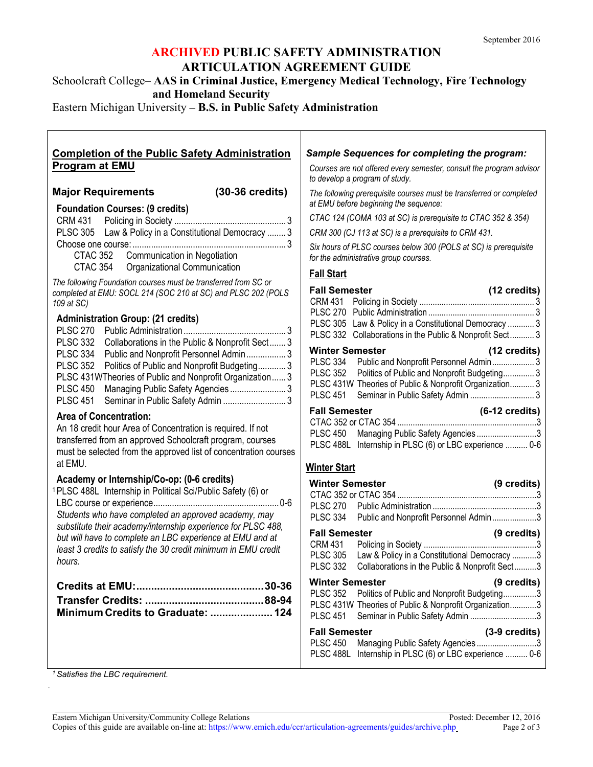# **ARCHIVED PUBLIC SAFETY ADMINISTRATION ARTICULATION AGREEMENT GUIDE**

Schoolcraft College– **AAS in Criminal Justice, Emergency Medical Technology, Fire Technology and Homeland Security**

Eastern Michigan University **– B.S. in Public Safety Administration**

| <b>Completion of the Public Safety Administration</b>                                                                                                                                                                                                                                                     | <b>Sample Sequences for completing the program:</b>                                                                                                                                                                                                                             |
|-----------------------------------------------------------------------------------------------------------------------------------------------------------------------------------------------------------------------------------------------------------------------------------------------------------|---------------------------------------------------------------------------------------------------------------------------------------------------------------------------------------------------------------------------------------------------------------------------------|
| <b>Program at EMU</b>                                                                                                                                                                                                                                                                                     | Courses are not offered every semester, consult the program advisor                                                                                                                                                                                                             |
|                                                                                                                                                                                                                                                                                                           | to develop a program of study.                                                                                                                                                                                                                                                  |
| $(30-36 \text{ credits})$<br><b>Major Requirements</b>                                                                                                                                                                                                                                                    | The following prerequisite courses must be transferred or completed                                                                                                                                                                                                             |
| <b>Foundation Courses: (9 credits)</b>                                                                                                                                                                                                                                                                    | at EMU before beginning the sequence:                                                                                                                                                                                                                                           |
|                                                                                                                                                                                                                                                                                                           | CTAC 124 (COMA 103 at SC) is prerequisite to CTAC 352 & 354)                                                                                                                                                                                                                    |
| PLSC 305 Law & Policy in a Constitutional Democracy  3                                                                                                                                                                                                                                                    | CRM 300 (CJ 113 at SC) is a prerequisite to CRM 431.                                                                                                                                                                                                                            |
| <b>CTAC 352</b><br>Communication in Negotiation                                                                                                                                                                                                                                                           | Six hours of PLSC courses below 300 (POLS at SC) is prerequisite<br>for the administrative group courses.                                                                                                                                                                       |
| CTAC 354<br>Organizational Communication                                                                                                                                                                                                                                                                  | <b>Fall Start</b>                                                                                                                                                                                                                                                               |
| The following Foundation courses must be transferred from SC or<br>completed at EMU: SOCL 214 (SOC 210 at SC) and PLSC 202 (POLS<br>109 at SC)                                                                                                                                                            | <b>Fall Semester</b><br>(12 credits)<br>CRM 431                                                                                                                                                                                                                                 |
| <b>Administration Group: (21 credits)</b><br><b>PLSC 270</b><br><b>PLSC 332</b><br>Collaborations in the Public & Nonprofit Sect3                                                                                                                                                                         | PLSC 305 Law & Policy in a Constitutional Democracy  3<br>PLSC 332 Collaborations in the Public & Nonprofit Sect 3                                                                                                                                                              |
| <b>PLSC 334</b><br>Public and Nonprofit Personnel Admin 3<br><b>PLSC 352</b><br>Politics of Public and Nonprofit Budgeting 3<br>PLSC 431WTheories of Public and Nonprofit Organization 3<br>Managing Public Safety Agencies  3<br><b>PLSC 450</b><br><b>PLSC 451</b><br>Seminar in Public Safety Admin  3 | <b>Winter Semester</b><br>(12 credits)<br>PLSC 334 Public and Nonprofit Personnel Admin 3<br><b>PLSC 352</b><br>Politics of Public and Nonprofit Budgeting 3<br>PLSC 431W Theories of Public & Nonprofit Organization 3<br><b>PLSC 451</b><br>Seminar in Public Safety Admin  3 |
| <b>Area of Concentration:</b>                                                                                                                                                                                                                                                                             | <b>Fall Semester</b><br>$(6-12 \text{ credits})$                                                                                                                                                                                                                                |
| An 18 credit hour Area of Concentration is required. If not<br>transferred from an approved Schoolcraft program, courses<br>must be selected from the approved list of concentration courses<br>at EMU.                                                                                                   | Managing Public Safety Agencies 3<br><b>PLSC 450</b><br>PLSC 488L Internship in PLSC (6) or LBC experience  0-6                                                                                                                                                                 |
| Academy or Internship/Co-op: (0-6 credits)                                                                                                                                                                                                                                                                | <b>Winter Start</b>                                                                                                                                                                                                                                                             |
| <sup>1</sup> PLSC 488L Internship in Political Sci/Public Safety (6) or                                                                                                                                                                                                                                   | (9 credits)<br><b>Winter Semester</b>                                                                                                                                                                                                                                           |
|                                                                                                                                                                                                                                                                                                           | <b>PLSC 270</b>                                                                                                                                                                                                                                                                 |
| Students who have completed an approved academy, may                                                                                                                                                                                                                                                      | <b>PLSC 334</b><br>Public and Nonprofit Personnel Admin3                                                                                                                                                                                                                        |
| substitute their academy/internship experience for PLSC 488,<br>but will have to complete an LBC experience at EMU and at                                                                                                                                                                                 | <b>Fall Semester</b><br>(9 credits)<br><b>CRM 431</b>                                                                                                                                                                                                                           |
| least 3 credits to satisfy the 30 credit minimum in EMU credit<br>hours.                                                                                                                                                                                                                                  | Law & Policy in a Constitutional Democracy 3<br><b>PLSC 305</b><br><b>PLSC 332</b><br>Collaborations in the Public & Nonprofit Sect<br>3                                                                                                                                        |
|                                                                                                                                                                                                                                                                                                           | (9 credits)<br><b>Winter Semester</b>                                                                                                                                                                                                                                           |
| Minimum Credits to Graduate:  124                                                                                                                                                                                                                                                                         | <b>PLSC 352</b><br>Politics of Public and Nonprofit Budgeting3<br>PLSC 431W Theories of Public & Nonprofit Organization3<br><b>PLSC 451</b><br>Seminar in Public Safety Admin 3                                                                                                 |
|                                                                                                                                                                                                                                                                                                           | $(3-9 \text{ credits})$<br><b>Fall Semester</b>                                                                                                                                                                                                                                 |
|                                                                                                                                                                                                                                                                                                           | Managing Public Safety Agencies 3<br><b>PLSC 450</b><br>PLSC 488L Internship in PLSC (6) or LBC experience  0-6                                                                                                                                                                 |

*<sup>1</sup> Satisfies the LBC requirement.*

*.*